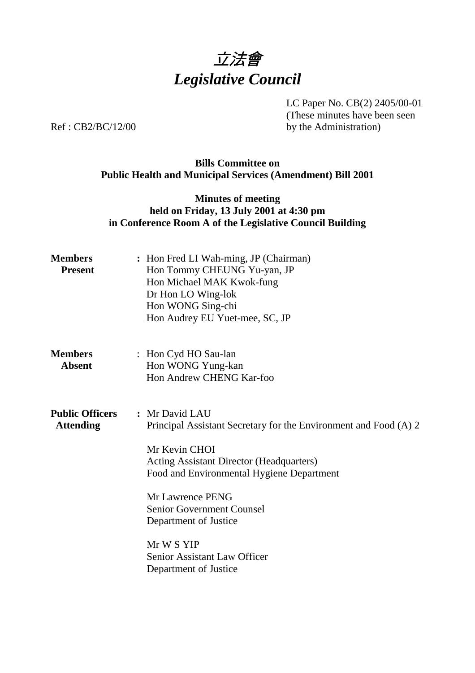

LC Paper No. CB(2) 2405/00-01 (These minutes have been seen by the Administration)

Ref : CB2/BC/12/00

# **Bills Committee on Public Health and Municipal Services (Amendment) Bill 2001**

# **Minutes of meeting held on Friday, 13 July 2001 at 4:30 pm in Conference Room A of the Legislative Council Building**

| <b>Members</b><br><b>Present</b>           | : Hon Fred LI Wah-ming, JP (Chairman)<br>Hon Tommy CHEUNG Yu-yan, JP<br>Hon Michael MAK Kwok-fung<br>Dr Hon LO Wing-lok<br>Hon WONG Sing-chi<br>Hon Audrey EU Yuet-mee, SC, JP                                                                                                                                                                              |  |  |
|--------------------------------------------|-------------------------------------------------------------------------------------------------------------------------------------------------------------------------------------------------------------------------------------------------------------------------------------------------------------------------------------------------------------|--|--|
| <b>Members</b><br><b>Absent</b>            | : Hon Cyd HO Sau-lan<br>Hon WONG Yung-kan<br>Hon Andrew CHENG Kar-foo                                                                                                                                                                                                                                                                                       |  |  |
| <b>Public Officers</b><br><b>Attending</b> | : Mr David LAU<br>Principal Assistant Secretary for the Environment and Food (A) 2<br>Mr Kevin CHOI<br><b>Acting Assistant Director (Headquarters)</b><br>Food and Environmental Hygiene Department<br>Mr Lawrence PENG<br><b>Senior Government Counsel</b><br>Department of Justice<br>Mr W S YIP<br>Senior Assistant Law Officer<br>Department of Justice |  |  |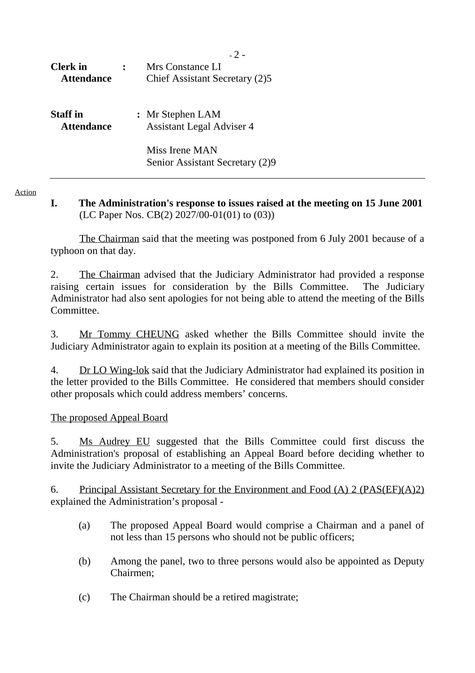| <b>Clerk</b> in<br><b>Attendance</b> |  | Mrs Constance LI<br>Chief Assistant Secretary (2)5   |
|--------------------------------------|--|------------------------------------------------------|
| Staff in<br><b>Attendance</b>        |  | : Mr Stephen LAM<br><b>Assistant Legal Adviser 4</b> |
|                                      |  | Miss Irene MAN<br>Senior Assistant Secretary (2)9    |

Action

### **I. The Administration's response to issues raised at the meeting on 15 June 2001** (LC Paper Nos. CB(2) 2027/00-01(01) to (03))

The Chairman said that the meeting was postponed from 6 July 2001 because of a typhoon on that day.

2. The Chairman advised that the Judiciary Administrator had provided a response raising certain issues for consideration by the Bills Committee. The Judiciary Administrator had also sent apologies for not being able to attend the meeting of the Bills Committee.

3. Mr Tommy CHEUNG asked whether the Bills Committee should invite the Judiciary Administrator again to explain its position at a meeting of the Bills Committee.

4. Dr LO Wing-lok said that the Judiciary Administrator had explained its position in the letter provided to the Bills Committee. He considered that members should consider other proposals which could address members' concerns.

The proposed Appeal Board

5. Ms Audrey EU suggested that the Bills Committee could first discuss the Administration's proposal of establishing an Appeal Board before deciding whether to invite the Judiciary Administrator to a meeting of the Bills Committee.

6. Principal Assistant Secretary for the Environment and Food (A) 2 (PAS(EF)(A)2) explained the Administration's proposal -

- (a) The proposed Appeal Board would comprise a Chairman and a panel of not less than 15 persons who should not be public officers;
- (b) Among the panel, two to three persons would also be appointed as Deputy Chairmen;
- (c) The Chairman should be a retired magistrate;

 $-2 -$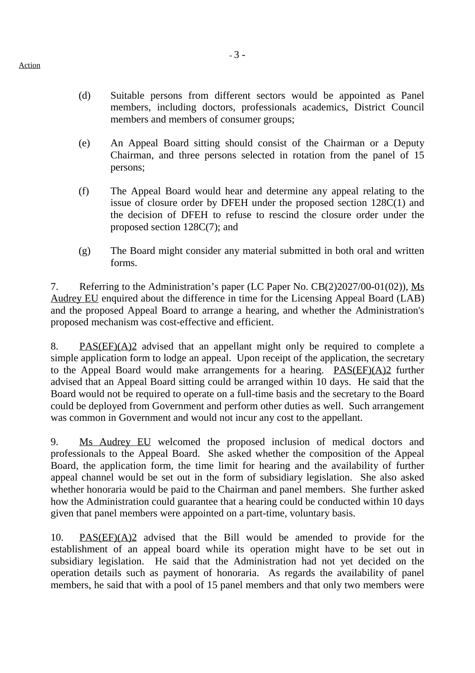- (d) Suitable persons from different sectors would be appointed as Panel members, including doctors, professionals academics, District Council members and members of consumer groups;
- (e) An Appeal Board sitting should consist of the Chairman or a Deputy Chairman, and three persons selected in rotation from the panel of 15 persons;
- (f) The Appeal Board would hear and determine any appeal relating to the issue of closure order by DFEH under the proposed section 128C(1) and the decision of DFEH to refuse to rescind the closure order under the proposed section 128C(7); and
- (g) The Board might consider any material submitted in both oral and written forms.

7. Referring to the Administration's paper (LC Paper No. CB(2)2027/00-01(02)), Ms Audrey EU enquired about the difference in time for the Licensing Appeal Board (LAB) and the proposed Appeal Board to arrange a hearing, and whether the Administration's proposed mechanism was cost-effective and efficient.

8. PAS(EF)(A)2 advised that an appellant might only be required to complete a simple application form to lodge an appeal. Upon receipt of the application, the secretary to the Appeal Board would make arrangements for a hearing.  $PAS(EF)(A)2$  further advised that an Appeal Board sitting could be arranged within 10 days. He said that the Board would not be required to operate on a full-time basis and the secretary to the Board could be deployed from Government and perform other duties as well. Such arrangement was common in Government and would not incur any cost to the appellant.

9. Ms Audrey EU welcomed the proposed inclusion of medical doctors and professionals to the Appeal Board. She asked whether the composition of the Appeal Board, the application form, the time limit for hearing and the availability of further appeal channel would be set out in the form of subsidiary legislation. She also asked whether honoraria would be paid to the Chairman and panel members. She further asked how the Administration could guarantee that a hearing could be conducted within 10 days given that panel members were appointed on a part-time, voluntary basis.

10. PAS(EF)(A)2 advised that the Bill would be amended to provide for the establishment of an appeal board while its operation might have to be set out in subsidiary legislation. He said that the Administration had not yet decided on the operation details such as payment of honoraria. As regards the availability of panel members, he said that with a pool of 15 panel members and that only two members were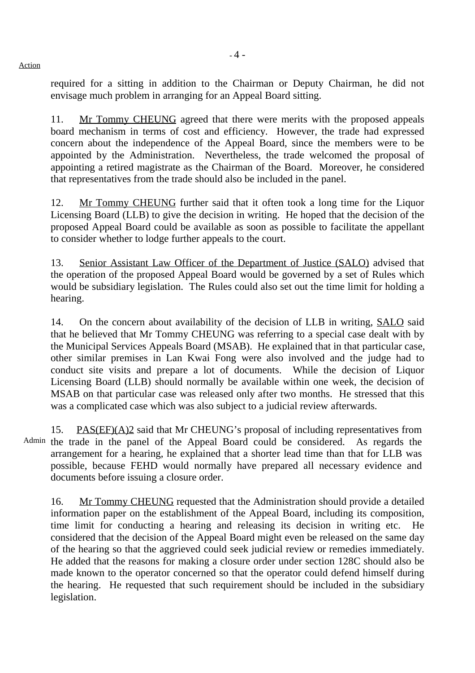Action

required for a sitting in addition to the Chairman or Deputy Chairman, he did not envisage much problem in arranging for an Appeal Board sitting.

11. Mr Tommy CHEUNG agreed that there were merits with the proposed appeals board mechanism in terms of cost and efficiency. However, the trade had expressed concern about the independence of the Appeal Board, since the members were to be appointed by the Administration. Nevertheless, the trade welcomed the proposal of appointing a retired magistrate as the Chairman of the Board. Moreover, he considered that representatives from the trade should also be included in the panel.

12. Mr Tommy CHEUNG further said that it often took a long time for the Liquor Licensing Board (LLB) to give the decision in writing. He hoped that the decision of the proposed Appeal Board could be available as soon as possible to facilitate the appellant to consider whether to lodge further appeals to the court.

13. Senior Assistant Law Officer of the Department of Justice (SALO) advised that the operation of the proposed Appeal Board would be governed by a set of Rules which would be subsidiary legislation. The Rules could also set out the time limit for holding a hearing.

14. On the concern about availability of the decision of LLB in writing, SALO said that he believed that Mr Tommy CHEUNG was referring to a special case dealt with by the Municipal Services Appeals Board (MSAB). He explained that in that particular case, other similar premises in Lan Kwai Fong were also involved and the judge had to conduct site visits and prepare a lot of documents. While the decision of Liquor Licensing Board (LLB) should normally be available within one week, the decision of MSAB on that particular case was released only after two months. He stressed that this was a complicated case which was also subject to a judicial review afterwards.

Admin the trade in the panel of the Appeal Board could be considered. As regards the 15. PAS(EF)(A)2 said that Mr CHEUNG's proposal of including representatives from arrangement for a hearing, he explained that a shorter lead time than that for LLB was possible, because FEHD would normally have prepared all necessary evidence and documents before issuing a closure order.

16. Mr Tommy CHEUNG requested that the Administration should provide a detailed information paper on the establishment of the Appeal Board, including its composition, time limit for conducting a hearing and releasing its decision in writing etc. He considered that the decision of the Appeal Board might even be released on the same day of the hearing so that the aggrieved could seek judicial review or remedies immediately. He added that the reasons for making a closure order under section 128C should also be made known to the operator concerned so that the operator could defend himself during the hearing. He requested that such requirement should be included in the subsidiary legislation.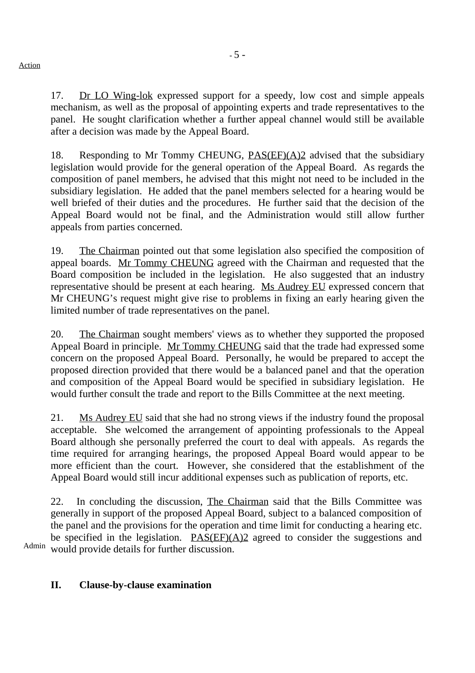17. Dr LO Wing-lok expressed support for a speedy, low cost and simple appeals mechanism, as well as the proposal of appointing experts and trade representatives to the panel. He sought clarification whether a further appeal channel would still be available after a decision was made by the Appeal Board.

18. Responding to Mr Tommy CHEUNG, PAS(EF)(A)2 advised that the subsidiary legislation would provide for the general operation of the Appeal Board. As regards the composition of panel members, he advised that this might not need to be included in the subsidiary legislation. He added that the panel members selected for a hearing would be well briefed of their duties and the procedures. He further said that the decision of the Appeal Board would not be final, and the Administration would still allow further appeals from parties concerned.

19. The Chairman pointed out that some legislation also specified the composition of appeal boards. Mr Tommy CHEUNG agreed with the Chairman and requested that the Board composition be included in the legislation. He also suggested that an industry representative should be present at each hearing. Ms Audrey EU expressed concern that Mr CHEUNG's request might give rise to problems in fixing an early hearing given the limited number of trade representatives on the panel.

20. The Chairman sought members' views as to whether they supported the proposed Appeal Board in principle. Mr Tommy CHEUNG said that the trade had expressed some concern on the proposed Appeal Board. Personally, he would be prepared to accept the proposed direction provided that there would be a balanced panel and that the operation and composition of the Appeal Board would be specified in subsidiary legislation. He would further consult the trade and report to the Bills Committee at the next meeting.

21. Ms Audrey EU said that she had no strong views if the industry found the proposal acceptable. She welcomed the arrangement of appointing professionals to the Appeal Board although she personally preferred the court to deal with appeals. As regards the time required for arranging hearings, the proposed Appeal Board would appear to be more efficient than the court. However, she considered that the establishment of the Appeal Board would still incur additional expenses such as publication of reports, etc.

22. In concluding the discussion, The Chairman said that the Bills Committee was generally in support of the proposed Appeal Board, subject to a balanced composition of the panel and the provisions for the operation and time limit for conducting a hearing etc. be specified in the legislation.  $PAS(EF)(A)2$  agreed to consider the suggestions and would provide details for further discussion.

Admin

# **II. Clause-by-clause examination**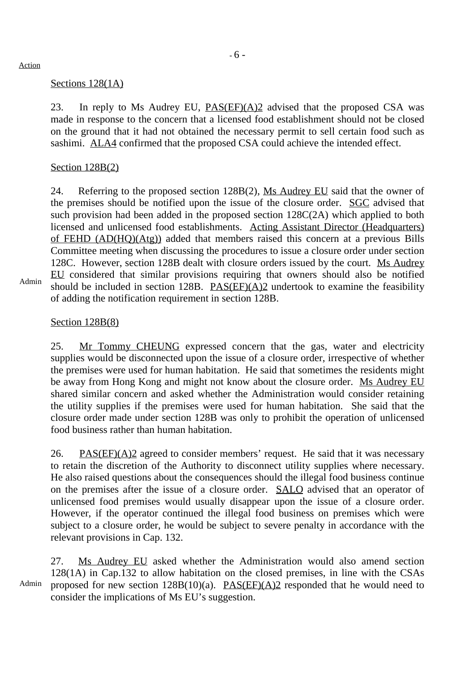#### Action

### Sections 128(1A)

23. In reply to Ms Audrey EU,  $PAS(EF)(A)2$  advised that the proposed CSA was made in response to the concern that a licensed food establishment should not be closed on the ground that it had not obtained the necessary permit to sell certain food such as sashimi. ALA4 confirmed that the proposed CSA could achieve the intended effect.

### Section 128B(2)

24. Referring to the proposed section 128B(2), Ms Audrey EU said that the owner of the premises should be notified upon the issue of the closure order. SGC advised that such provision had been added in the proposed section 128C(2A) which applied to both licensed and unlicensed food establishments. Acting Assistant Director (Headquarters) of FEHD (AD(HQ)(Atg)) added that members raised this concern at a previous Bills Committee meeting when discussing the procedures to issue a closure order under section 128C. However, section 128B dealt with closure orders issued by the court. Ms Audrey EU considered that similar provisions requiring that owners should also be notified should be included in section 128B. PAS(EF)(A)2 undertook to examine the feasibility of adding the notification requirement in section 128B.

Admin

# Section 128B(8)

25. Mr Tommy CHEUNG expressed concern that the gas, water and electricity supplies would be disconnected upon the issue of a closure order, irrespective of whether the premises were used for human habitation. He said that sometimes the residents might be away from Hong Kong and might not know about the closure order. Ms Audrey EU shared similar concern and asked whether the Administration would consider retaining the utility supplies if the premises were used for human habitation. She said that the closure order made under section 128B was only to prohibit the operation of unlicensed food business rather than human habitation.

26. PAS $(EF)(A)$ <sup>2</sup> agreed to consider members' request. He said that it was necessary to retain the discretion of the Authority to disconnect utility supplies where necessary. He also raised questions about the consequences should the illegal food business continue on the premises after the issue of a closure order. SALO advised that an operator of unlicensed food premises would usually disappear upon the issue of a closure order. However, if the operator continued the illegal food business on premises which were subject to a closure order, he would be subject to severe penalty in accordance with the relevant provisions in Cap. 132.

Admin 27. Ms Audrey EU asked whether the Administration would also amend section 128(1A) in Cap.132 to allow habitation on the closed premises, in line with the CSAs proposed for new section  $128B(10)(a)$ .  $PAS(EF)(A)2$  responded that he would need to consider the implications of Ms EU's suggestion.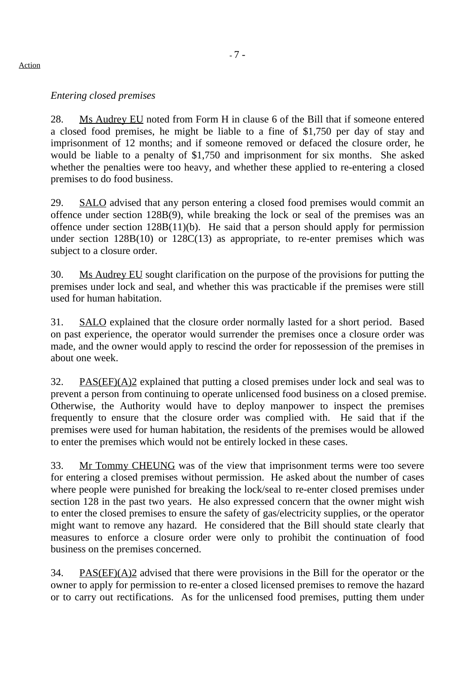# *Entering closed premises*

28. Ms Audrey EU noted from Form H in clause 6 of the Bill that if someone entered a closed food premises, he might be liable to a fine of \$1,750 per day of stay and imprisonment of 12 months; and if someone removed or defaced the closure order, he would be liable to a penalty of \$1,750 and imprisonment for six months. She asked whether the penalties were too heavy, and whether these applied to re-entering a closed premises to do food business.

29. SALO advised that any person entering a closed food premises would commit an offence under section 128B(9), while breaking the lock or seal of the premises was an offence under section 128B(11)(b). He said that a person should apply for permission under section  $128B(10)$  or  $128C(13)$  as appropriate, to re-enter premises which was subject to a closure order.

30. Ms Audrey EU sought clarification on the purpose of the provisions for putting the premises under lock and seal, and whether this was practicable if the premises were still used for human habitation.

31. SALO explained that the closure order normally lasted for a short period. Based on past experience, the operator would surrender the premises once a closure order was made, and the owner would apply to rescind the order for repossession of the premises in about one week.

32. PAS(EF)( $A$ )2 explained that putting a closed premises under lock and seal was to prevent a person from continuing to operate unlicensed food business on a closed premise. Otherwise, the Authority would have to deploy manpower to inspect the premises frequently to ensure that the closure order was complied with. He said that if the premises were used for human habitation, the residents of the premises would be allowed to enter the premises which would not be entirely locked in these cases.

33. Mr Tommy CHEUNG was of the view that imprisonment terms were too severe for entering a closed premises without permission. He asked about the number of cases where people were punished for breaking the lock/seal to re-enter closed premises under section 128 in the past two years. He also expressed concern that the owner might wish to enter the closed premises to ensure the safety of gas/electricity supplies, or the operator might want to remove any hazard. He considered that the Bill should state clearly that measures to enforce a closure order were only to prohibit the continuation of food business on the premises concerned.

34. PAS(EF)(A)2 advised that there were provisions in the Bill for the operator or the owner to apply for permission to re-enter a closed licensed premises to remove the hazard or to carry out rectifications. As for the unlicensed food premises, putting them under

#### Action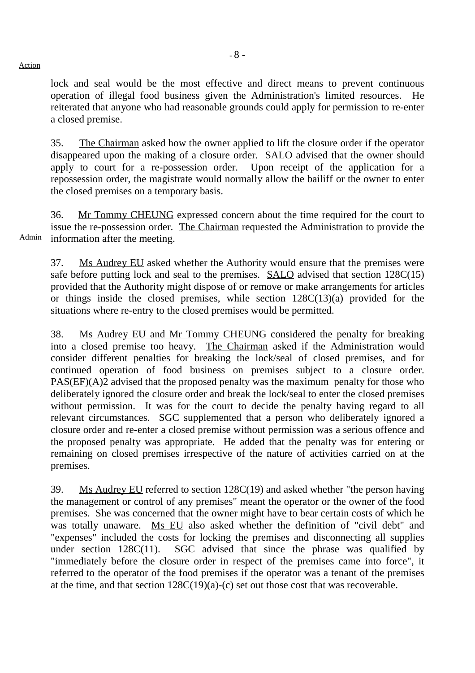lock and seal would be the most effective and direct means to prevent continuous operation of illegal food business given the Administration's limited resources. He reiterated that anyone who had reasonable grounds could apply for permission to re-enter a closed premise.

35. The Chairman asked how the owner applied to lift the closure order if the operator disappeared upon the making of a closure order. SALO advised that the owner should apply to court for a re-possession order. Upon receipt of the application for a repossession order, the magistrate would normally allow the bailiff or the owner to enter the closed premises on a temporary basis.

Admin 36. Mr Tommy CHEUNG expressed concern about the time required for the court to issue the re-possession order. The Chairman requested the Administration to provide the information after the meeting.

37. Ms Audrey EU asked whether the Authority would ensure that the premises were safe before putting lock and seal to the premises. SALO advised that section 128C(15) provided that the Authority might dispose of or remove or make arrangements for articles or things inside the closed premises, while section 128C(13)(a) provided for the situations where re-entry to the closed premises would be permitted.

38. Ms Audrey EU and Mr Tommy CHEUNG considered the penalty for breaking into a closed premise too heavy. The Chairman asked if the Administration would consider different penalties for breaking the lock/seal of closed premises, and for continued operation of food business on premises subject to a closure order. PAS(EF)(A)2 advised that the proposed penalty was the maximum penalty for those who deliberately ignored the closure order and break the lock/seal to enter the closed premises without permission. It was for the court to decide the penalty having regard to all relevant circumstances. SGC supplemented that a person who deliberately ignored a closure order and re-enter a closed premise without permission was a serious offence and the proposed penalty was appropriate. He added that the penalty was for entering or remaining on closed premises irrespective of the nature of activities carried on at the premises.

39. Ms Audrey EU referred to section 128C(19) and asked whether "the person having the management or control of any premises" meant the operator or the owner of the food premises. She was concerned that the owner might have to bear certain costs of which he was totally unaware. Ms EU also asked whether the definition of "civil debt" and "expenses" included the costs for locking the premises and disconnecting all supplies under section  $128C(11)$ . SGC advised that since the phrase was qualified by "immediately before the closure order in respect of the premises came into force", it referred to the operator of the food premises if the operator was a tenant of the premises at the time, and that section 128C(19)(a)-(c) set out those cost that was recoverable.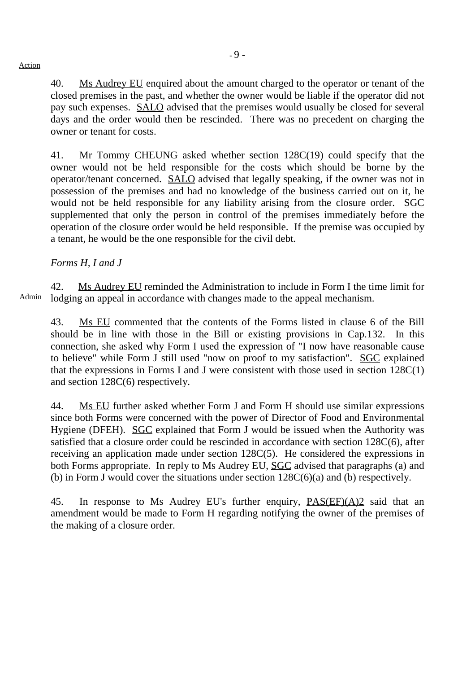40. Ms Audrey EU enquired about the amount charged to the operator or tenant of the closed premises in the past, and whether the owner would be liable if the operator did not pay such expenses. SALO advised that the premises would usually be closed for several days and the order would then be rescinded. There was no precedent on charging the owner or tenant for costs.

41. Mr Tommy CHEUNG asked whether section 128C(19) could specify that the owner would not be held responsible for the costs which should be borne by the operator/tenant concerned. SALO advised that legally speaking, if the owner was not in possession of the premises and had no knowledge of the business carried out on it, he would not be held responsible for any liability arising from the closure order. SGC supplemented that only the person in control of the premises immediately before the operation of the closure order would be held responsible. If the premise was occupied by a tenant, he would be the one responsible for the civil debt.

# *Forms H, I and J*

Admin 42. Ms Audrey EU reminded the Administration to include in Form I the time limit for lodging an appeal in accordance with changes made to the appeal mechanism.

43. Ms EU commented that the contents of the Forms listed in clause 6 of the Bill should be in line with those in the Bill or existing provisions in Cap.132. In this connection, she asked why Form I used the expression of "I now have reasonable cause to believe" while Form J still used "now on proof to my satisfaction". SGC explained that the expressions in Forms I and J were consistent with those used in section  $128C(1)$ and section 128C(6) respectively.

44. Ms EU further asked whether Form J and Form H should use similar expressions since both Forms were concerned with the power of Director of Food and Environmental Hygiene (DFEH). SGC explained that Form J would be issued when the Authority was satisfied that a closure order could be rescinded in accordance with section 128C(6), after receiving an application made under section 128C(5). He considered the expressions in both Forms appropriate. In reply to Ms Audrey EU, SGC advised that paragraphs (a) and (b) in Form J would cover the situations under section 128C(6)(a) and (b) respectively.

45. In response to Ms Audrey EU's further enquiry, PAS(EF)(A)2 said that an amendment would be made to Form H regarding notifying the owner of the premises of the making of a closure order.